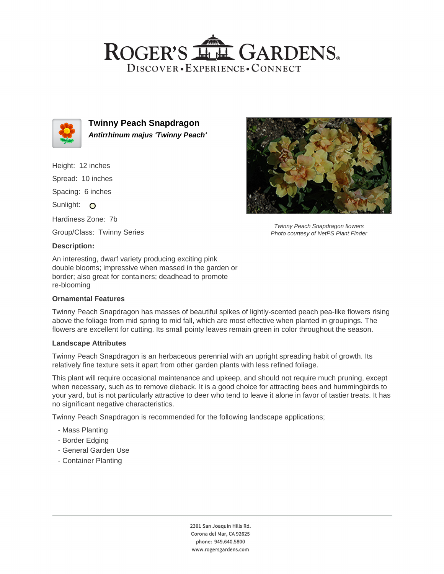## ROGER'S LL GARDENS. DISCOVER · EXPERIENCE · CONNECT



**Twinny Peach Snapdragon Antirrhinum majus 'Twinny Peach'**

Height: 12 inches

Spread: 10 inches

Spacing: 6 inches

Sunlight: O

Hardiness Zone: 7b

Group/Class: Twinny Series

### **Description:**

An interesting, dwarf variety producing exciting pink double blooms; impressive when massed in the garden or border; also great for containers; deadhead to promote re-blooming

### **Ornamental Features**

Twinny Peach Snapdragon has masses of beautiful spikes of lightly-scented peach pea-like flowers rising above the foliage from mid spring to mid fall, which are most effective when planted in groupings. The flowers are excellent for cutting. Its small pointy leaves remain green in color throughout the season.

### **Landscape Attributes**

Twinny Peach Snapdragon is an herbaceous perennial with an upright spreading habit of growth. Its relatively fine texture sets it apart from other garden plants with less refined foliage.

This plant will require occasional maintenance and upkeep, and should not require much pruning, except when necessary, such as to remove dieback. It is a good choice for attracting bees and hummingbirds to your yard, but is not particularly attractive to deer who tend to leave it alone in favor of tastier treats. It has no significant negative characteristics.

Twinny Peach Snapdragon is recommended for the following landscape applications;

- Mass Planting
- Border Edging
- General Garden Use
- Container Planting



Twinny Peach Snapdragon flowers Photo courtesy of NetPS Plant Finder

2301 San Joaquin Hills Rd. Corona del Mar, CA 92625 phone: 949.640.5800 www.rogersgardens.com